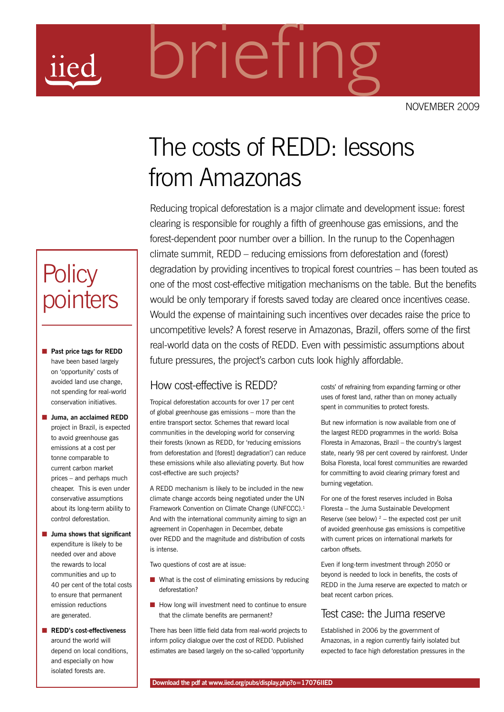NOVEMBER 2009

# The costs of REDD: lessons from Amazonas

briefing

Reducing tropical deforestation is a major climate and development issue: forest clearing is responsible for roughly a fifth of greenhouse gas emissions, and the forest-dependent poor number over a billion. In the runup to the Copenhagen climate summit, REDD – reducing emissions from deforestation and (forest) degradation by providing incentives to tropical forest countries – has been touted as one of the most cost-effective mitigation mechanisms on the table. But the benefits would be only temporary if forests saved today are cleared once incentives cease. Would the expense of maintaining such incentives over decades raise the price to uncompetitive levels? A forest reserve in Amazonas, Brazil, offers some of the first real-world data on the costs of REDD. Even with pessimistic assumptions about future pressures, the project's carbon cuts look highly affordable.

#### How cost-effective is REDD?

Tropical deforestation accounts for over 17 per cent of global greenhouse gas emissions – more than the entire transport sector. Schemes that reward local communities in the developing world for conserving their forests (known as REDD, for 'reducing emissions from deforestation and [forest] degradation') can reduce these emissions while also alleviating poverty. But how cost-effective are such projects?

A REDD mechanism is likely to be included in the new climate change accords being negotiated under the UN Framework Convention on Climate Change (UNFCCC).<sup>1</sup> And with the international community aiming to sign an agreement in Copenhagen in December, debate over REDD and the magnitude and distribution of costs is intense.

Two questions of cost are at issue:

- **n** What is the cost of eliminating emissions by reducing deforestation?
- **n** How long will investment need to continue to ensure that the climate benefits are permanent?

There has been little field data from real-world projects to inform policy dialogue over the cost of REDD. Published estimates are based largely on the so-called 'opportunity

costs' of refraining from expanding farming or other uses of forest land, rather than on money actually spent in communities to protect forests.

But new information is now available from one of the largest REDD programmes in the world: Bolsa Floresta in Amazonas, Brazil – the country's largest state, nearly 98 per cent covered by rainforest. Under Bolsa Floresta, local forest communities are rewarded for committing to avoid clearing primary forest and burning vegetation.

For one of the forest reserves included in Bolsa Floresta – the Juma Sustainable Development Reserve (see below)  $2$  – the expected cost per unit of avoided greenhouse gas emissions is competitive with current prices on international markets for carbon offsets.

Even if long-term investment through 2050 or beyond is needed to lock in benefits, the costs of REDD in the Juma reserve are expected to match or beat recent carbon prices.

#### Test case: the Juma reserve

Established in 2006 by the government of Amazonas, in a region currently fairly isolated but expected to face high deforestation pressures in the

# **Policy** pointers

- **n** Past price tags for REDD have been based largely on 'opportunity' costs of avoided land use change, not spending for real-world conservation initiatives.
- **n** Juma, an acclaimed REDD project in Brazil, is expected to avoid greenhouse gas emissions at a cost per tonne comparable to current carbon market prices – and perhaps much cheaper. This is even under conservative assumptions about its long-term ability to control deforestation.
- **n** Juma shows that significant expenditure is likely to be needed over and above the rewards to local communities and up to 40 per cent of the total costs to ensure that permanent emission reductions are generated.
- **n** REDD's cost-effectiveness around the world will depend on local conditions, and especially on how isolated forests are.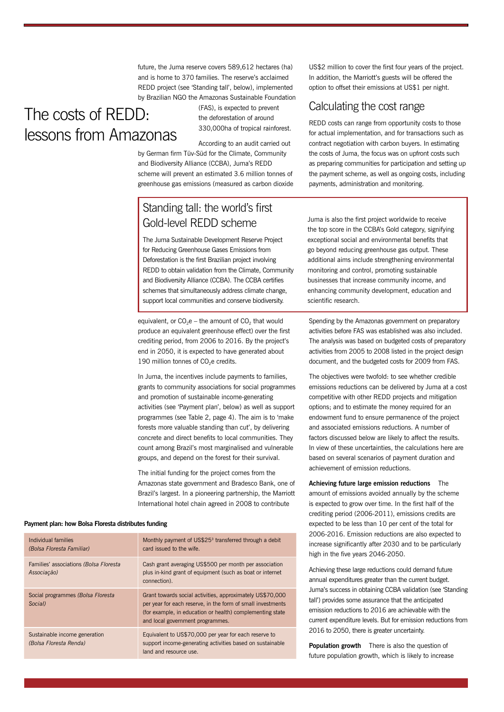future, the Juma reserve covers 589,612 hectares (ha) and is home to 370 families. The reserve's acclaimed REDD project (see 'Standing tall', below), implemented by Brazilian NGO the Amazonas Sustainable Foundation

# The costs of REDD: lessons from Amazonas

(FAS), is expected to prevent the deforestation of around 330,000ha of tropical rainforest.

According to an audit carried out by German firm Tüv-Süd for the Climate, Community and Biodiversity Alliance (CCBA), Juma's REDD scheme will prevent an estimated 3.6 million tonnes of greenhouse gas emissions (measured as carbon dioxide

# Standing tall: the world's first Gold-level REDD scheme

The Juma Sustainable Development Reserve Project for Reducing Greenhouse Gases Emissions from Deforestation is the first Brazilian project involving REDD to obtain validation from the Climate, Community and Biodiversity Alliance (CCBA). The CCBA certifies schemes that simultaneously address climate change, support local communities and conserve biodiversity.

equivalent, or  $CO<sub>2</sub>e$  – the amount of  $CO<sub>2</sub>$  that would produce an equivalent greenhouse effect) over the first crediting period, from 2006 to 2016. By the project's end in 2050, it is expected to have generated about 190 million tonnes of CO<sub>2</sub>e credits.

In Juma, the incentives include payments to families, grants to community associations for social programmes and promotion of sustainable income-generating activities (see 'Payment plan', below) as well as support programmes (see Table 2, page 4). The aim is to 'make forests more valuable standing than cut', by delivering concrete and direct benefits to local communities. They count among Brazil's most marginalised and vulnerable groups, and depend on the forest for their survival.

The initial funding for the project comes from the Amazonas state government and Bradesco Bank, one of Brazil's largest. In a pioneering partnership, the Marriott International hotel chain agreed in 2008 to contribute

US\$2 million to cover the first four years of the project. In addition, the Marriott's guests will be offered the option to offset their emissions at US\$1 per night.

## Calculating the cost range

REDD costs can range from opportunity costs to those for actual implementation, and for transactions such as contract negotiation with carbon buyers. In estimating the costs of Juma, the focus was on upfront costs such as preparing communities for participation and setting up the payment scheme, as well as ongoing costs, including payments, administration and monitoring.

Juma is also the first project worldwide to receive the top score in the CCBA's Gold category, signifying exceptional social and environmental benefits that go beyond reducing greenhouse gas output. These additional aims include strengthening environmental monitoring and control, promoting sustainable businesses that increase community income, and enhancing community development, education and scientific research.

Spending by the Amazonas government on preparatory activities before FAS was established was also included. The analysis was based on budgeted costs of preparatory activities from 2005 to 2008 listed in the project design document, and the budgeted costs for 2009 from FAS.

The objectives were twofold: to see whether credible emissions reductions can be delivered by Juma at a cost competitive with other REDD projects and mitigation options; and to estimate the money required for an endowment fund to ensure permanence of the project and associated emissions reductions. A number of factors discussed below are likely to affect the results. In view of these uncertainties, the calculations here are based on several scenarios of payment duration and achievement of emission reductions.

**Achieving future large emission reductions** The amount of emissions avoided annually by the scheme is expected to grow over time. In the first half of the crediting period (2006-2011), emissions credits are expected to be less than 10 per cent of the total for 2006-2016. Emission reductions are also expected to increase significantly after 2030 and to be particularly high in the five years 2046-2050.

Achieving these large reductions could demand future annual expenditures greater than the current budget. Juma's success in obtaining CCBA validation (see 'Standing tall') provides some assurance that the anticipated emission reductions to 2016 are achievable with the current expenditure levels. But for emission reductions from 2016 to 2050, there is greater uncertainty.

**Population growth** There is also the question of future population growth, which is likely to increase

#### **Payment plan: how Bolsa Floresta distributes funding**

| Individual families<br>(Bolsa Floresta Familiar)        | Monthly payment of US\$25 <sup>3</sup> transferred through a debit<br>card issued to the wife.                                                                                                                            |
|---------------------------------------------------------|---------------------------------------------------------------------------------------------------------------------------------------------------------------------------------------------------------------------------|
| Families' associations (Bolsa Floresta<br>Associação)   | Cash grant averaging US\$500 per month per association<br>plus in-kind grant of equipment (such as boat or internet<br>connection).                                                                                       |
| Social programmes (Bolsa Floresta<br>Social)            | Grant towards social activities, approximately US\$70,000<br>per year for each reserve, in the form of small investments<br>(for example, in education or health) complementing state<br>and local government programmes. |
| Sustainable income generation<br>(Bolsa Floresta Renda) | Equivalent to US\$70,000 per year for each reserve to<br>support income-generating activities based on sustainable<br>land and resource use.                                                                              |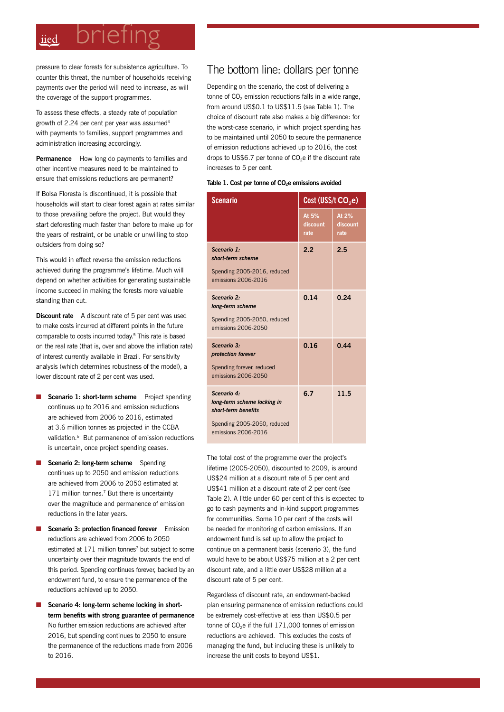# briefing iied

pressure to clear forests for subsistence agriculture. To counter this threat, the number of households receiving payments over the period will need to increase, as will the coverage of the support programmes.

To assess these effects, a steady rate of population growth of 2.24 per cent per year was assumed<sup>4</sup> with payments to families, support programmes and administration increasing accordingly.

**Permanence** How long do payments to families and other incentive measures need to be maintained to ensure that emissions reductions are permanent?

If Bolsa Floresta is discontinued, it is possible that households will start to clear forest again at rates similar to those prevailing before the project. But would they start deforesting much faster than before to make up for the years of restraint, or be unable or unwilling to stop outsiders from doing so?

This would in effect reverse the emission reductions achieved during the programme's lifetime. Much will depend on whether activities for generating sustainable income succeed in making the forests more valuable standing than cut.

**Discount rate** A discount rate of 5 per cent was used to make costs incurred at different points in the future comparable to costs incurred today.5 This rate is based on the real rate (that is, over and above the inflation rate) of interest currently available in Brazil. For sensitivity analysis (which determines robustness of the model), a lower discount rate of 2 per cent was used.

- **Scenario 1: short-term scheme** Project spending continues up to 2016 and emission reductions are achieved from 2006 to 2016, estimated at 3.6 million tonnes as projected in the CCBA validation.<sup>6</sup> But permanence of emission reductions is uncertain, once project spending ceases.
- **Scenario 2: long-term scheme** Spending continues up to 2050 and emission reductions are achieved from 2006 to 2050 estimated at 171 million tonnes.<sup>7</sup> But there is uncertainty over the magnitude and permanence of emission reductions in the later years.
- **Scenario 3: protection financed forever** Emission reductions are achieved from 2006 to 2050 estimated at 171 million tonnes<sup>7</sup> but subject to some uncertainty over their magnitude towards the end of this period. Spending continues forever, backed by an endowment fund, to ensure the permanence of the reductions achieved up to 2050.
- Scenario 4: long-term scheme locking in short**term benefits with strong guarantee of permanence** No further emission reductions are achieved after 2016, but spending continues to 2050 to ensure the permanence of the reductions made from 2006 to 2016.

#### The bottom line: dollars per tonne

Depending on the scenario, the cost of delivering a tonne of  $CO<sub>2</sub>$  emission reductions falls in a wide range, from around US\$0.1 to US\$11.5 (see Table 1). The choice of discount rate also makes a big difference: for the worst-case scenario, in which project spending has to be maintained until 2050 to secure the permanence of emission reductions achieved up to 2016, the cost drops to US\$6.7 per tonne of  $CO<sub>2</sub>e$  if the discount rate increases to 5 per cent.

Table 1. Cost per tonne of CO<sub>2</sub>e emissions avoided

| <b>Scenario</b>                                                                                                         | Cost (US\$/t $CO2e$ )     |                           |
|-------------------------------------------------------------------------------------------------------------------------|---------------------------|---------------------------|
|                                                                                                                         | At 5%<br>discount<br>rate | At 2%<br>discount<br>rate |
| Scenario 1:<br>short-term scheme<br>Spending 2005-2016, reduced<br>emissions 2006-2016                                  | 2.2                       | 2.5                       |
| Scenario 2:<br>long-term scheme<br>Spending 2005-2050, reduced<br>emissions 2006-2050                                   | 0.14                      | 0.24                      |
| Scenario 3:<br>protection forever<br>Spending forever, reduced<br>emissions 2006-2050                                   | 0.16                      | 0.44                      |
| Scenario 4:<br>long-term scheme locking in<br>short-term benefits<br>Spending 2005-2050, reduced<br>emissions 2006-2016 | 6.7                       | 11.5                      |

The total cost of the programme over the project's lifetime (2005-2050), discounted to 2009, is around US\$24 million at a discount rate of 5 per cent and US\$41 million at a discount rate of 2 per cent (see Table 2). A little under 60 per cent of this is expected to go to cash payments and in-kind support programmes for communities. Some 10 per cent of the costs will be needed for monitoring of carbon emissions. If an endowment fund is set up to allow the project to continue on a permanent basis (scenario 3), the fund would have to be about US\$75 million at a 2 per cent discount rate, and a little over US\$28 million at a discount rate of 5 per cent.

Regardless of discount rate, an endowment-backed plan ensuring permanence of emission reductions could be extremely cost-effective at less than US\$0.5 per tonne of  $CO<sub>2</sub>e$  if the full  $171,000$  tonnes of emission reductions are achieved. This excludes the costs of managing the fund, but including these is unlikely to increase the unit costs to beyond US\$1.